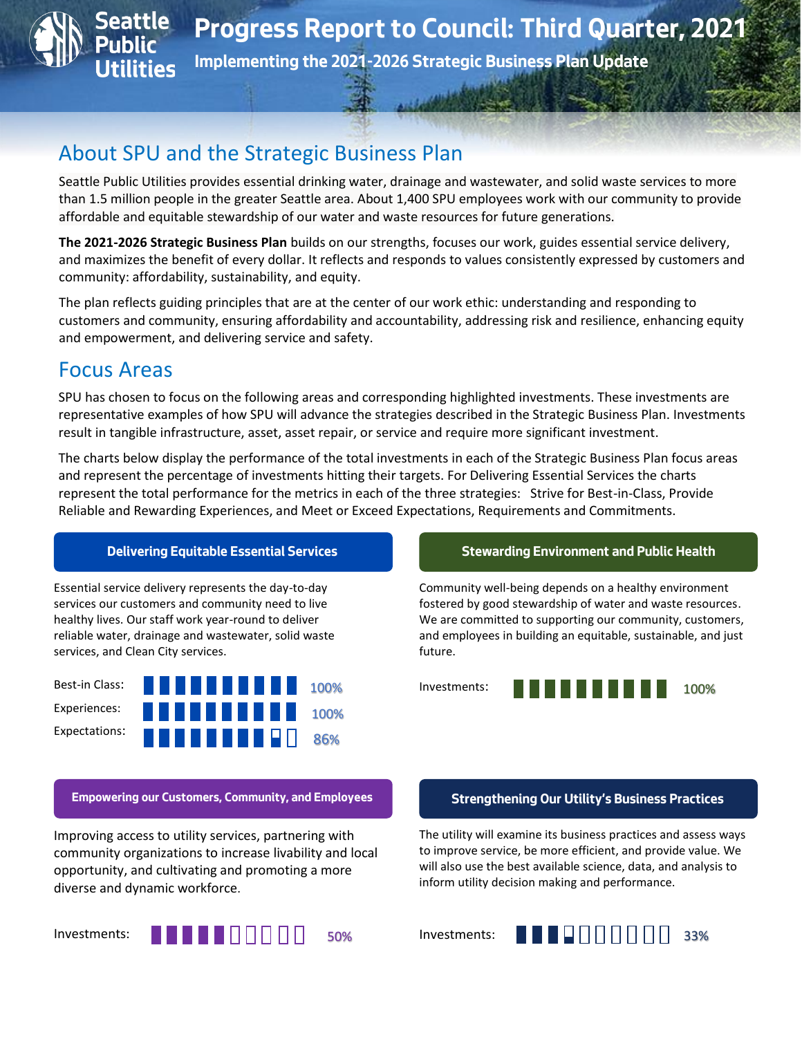

# About SPU and the Strategic Business Plan

Seattle Public Utilities provides essential drinking water, drainage and wastewater, and solid waste services to more than 1.5 million people in the greater Seattle area. About 1,400 SPU employees work with our community to provide affordable and equitable stewardship of our water and waste resources for future generations.

**The 2021-2026 Strategic Business Plan** builds on our strengths, focuses our work, guides essential service delivery, and maximizes the benefit of every dollar. It reflects and responds to values consistently expressed by customers and community: affordability, sustainability, and equity.

The plan reflects guiding principles that are at the center of our work ethic: understanding and responding to customers and community, ensuring affordability and accountability, addressing risk and resilience, enhancing equity and empowerment, and delivering service and safety.

# Focus Areas

SPU has chosen to focus on the following areas and corresponding highlighted investments. These investments are representative examples of how SPU will advance the strategies described in the Strategic Business Plan. Investments result in tangible infrastructure, asset, asset repair, or service and require more significant investment.

The charts below display the performance of the total investments in each of the Strategic Business Plan focus areas and represent the percentage of investments hitting their targets. For Delivering Essential Services the charts represent the total performance for the metrics in each of the three strategies: Strive for Best-in-Class, Provide Reliable and Rewarding Experiences, and Meet or Exceed Expectations, Requirements and Commitments.

Essential service delivery represents the day-to-day services our customers and community need to live healthy lives. Our staff work year-round to deliver reliable water, drainage and wastewater, solid waste services, and Clean City services.



**Empowering our Customers, Community, and Employees Strengthening Our Utility's Business Practices**

Improving access to utility services, partnering with community organizations to increase livability and local opportunity, and cultivating and promoting a more diverse and dynamic workforce.

Investments:



### **Delivering Equitable Essential Services Stewarding Environment and Public Health**

Community well-being depends on a healthy environment fostered by good stewardship of water and waste resources. We are committed to supporting our community, customers, and employees in building an equitable, sustainable, and just future.



The utility will examine its business practices and assess ways to improve service, be more efficient, and provide value. We will also use the best available science, data, and analysis to inform utility decision making and performance.

Investments:

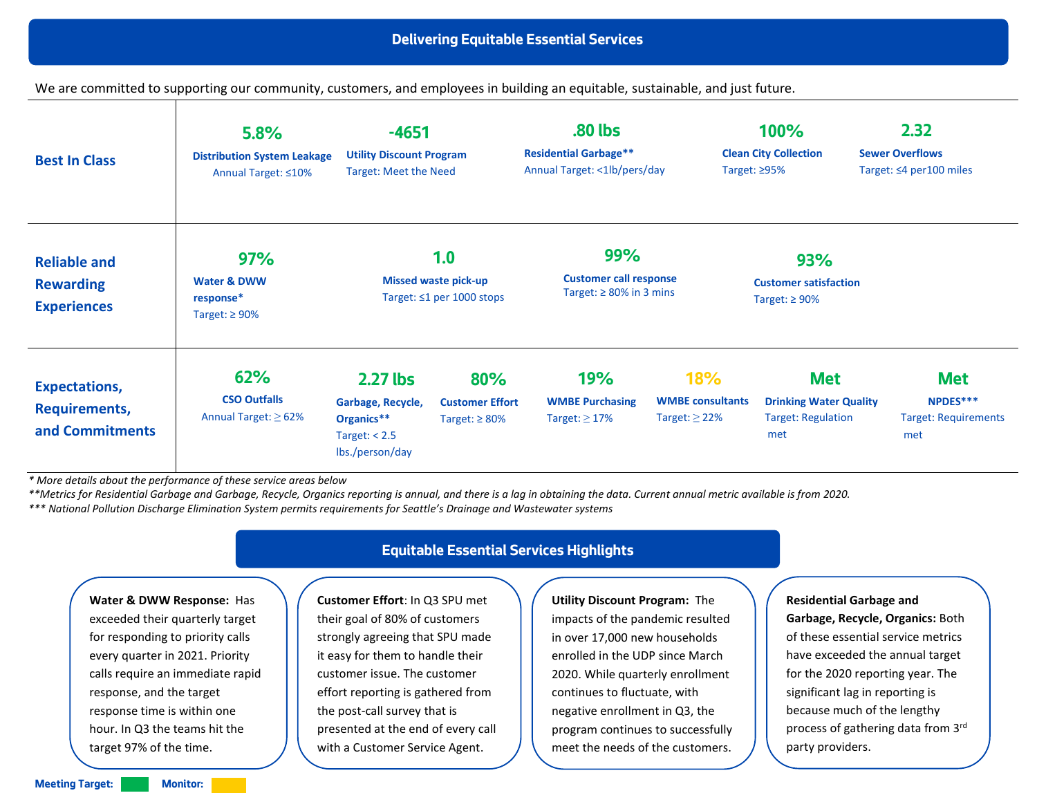We are committed to supporting our community, customers, and employees in building an equitable, sustainable, and just future.

| <b>Best In Class</b>                                            | 5.8%<br><b>Distribution System Leakage</b><br>Annual Target: ≤10% | $-4651$<br><b>Utility Discount Program</b><br><b>Target: Meet the Need</b>          |                                                      | .80 lbs<br><b>Residential Garbage**</b><br>Annual Target: <1lb/pers/day |                                                             | 2.32<br>100%<br><b>Clean City Collection</b><br><b>Sewer Overflows</b><br>Target: $\leq 4$ per 100 miles<br>Target: $\geq$ 95% |                                                              |  |
|-----------------------------------------------------------------|-------------------------------------------------------------------|-------------------------------------------------------------------------------------|------------------------------------------------------|-------------------------------------------------------------------------|-------------------------------------------------------------|--------------------------------------------------------------------------------------------------------------------------------|--------------------------------------------------------------|--|
| <b>Reliable and</b><br><b>Rewarding</b><br><b>Experiences</b>   | 97%<br><b>Water &amp; DWW</b><br>response*<br>Target: $\geq 90\%$ | 1.0<br><b>Missed waste pick-up</b><br>Target: $\leq 1$ per 1000 stops               |                                                      | 99%<br><b>Customer call response</b><br>Target: $\geq 80\%$ in 3 mins   |                                                             | <b>93%</b><br><b>Customer satisfaction</b><br>Target: $\geq 90\%$                                                              |                                                              |  |
| <b>Expectations,</b><br><b>Requirements,</b><br>and Commitments | 62%<br><b>CSO Outfalls</b><br>Annual Target: $\geq 62\%$          | $2.27$ lbs<br>Garbage, Recycle,<br>Organics**<br>Target: $< 2.5$<br>lbs./person/day | 80%<br><b>Customer Effort</b><br>Target: $\geq 80\%$ | <b>19%</b><br><b>WMBE Purchasing</b><br>Target: $\geq$ 17%              | <b>18%</b><br><b>WMBE</b> consultants<br>Target: $\geq$ 22% | <b>Met</b><br><b>Drinking Water Quality</b><br><b>Target: Regulation</b><br>met                                                | <b>Met</b><br>NPDES***<br><b>Target: Requirements</b><br>met |  |

*\* More details about the performance of these service areas below*

*\*\*Metrics for Residential Garbage and Garbage, Recycle, Organics reporting is annual, and there is a lag in obtaining the data. Current annual metric available is from 2020.* 

*\*\*\* National Pollution Discharge Elimination System permits requirements for Seattle's Drainage and Wastewater systems*

**Water & DWW Response:** Has exceeded their quarterly target for responding to priority calls every quarter in 2021. Priority calls require an immediate rapid response, and the target response time is within one hour. In Q3 the teams hit the target 97% of the time.

### **Equitable Essential Services Highlights**

**Customer Effort**: In Q3 SPU met their goal of 80% of customers strongly agreeing that SPU made it easy for them to handle their customer issue. The customer effort reporting is gathered from the post-call survey that is presented at the end of every call with a Customer Service Agent.

**Utility Discount Program:** The impacts of the pandemic resulted in over 17,000 new households enrolled in the UDP since March 2020. While quarterly enrollment continues to fluctuate, with negative enrollment in Q3, the program continues to successfully meet the needs of the customers.

**Residential Garbage and Garbage, Recycle, Organics:** Both of these essential service metrics have exceeded the annual target for the 2020 reporting year. The significant lag in reporting is because much of the lengthy process of gathering data from 3rd party providers.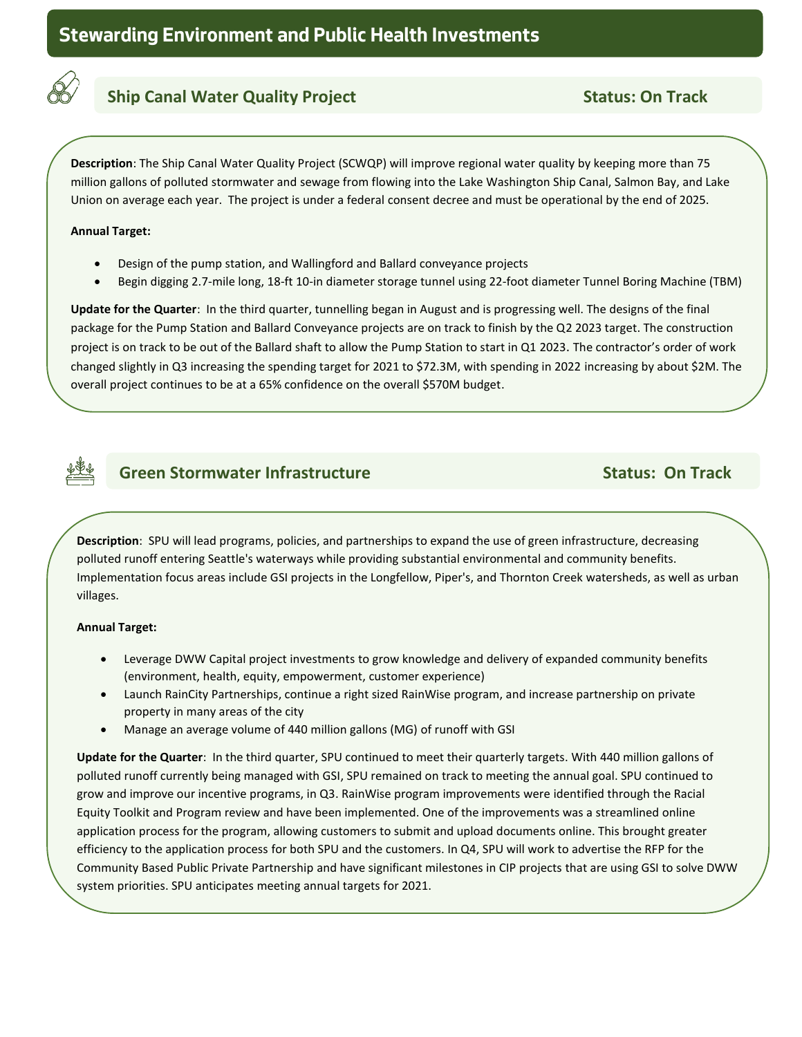

## **Ship Canal Water Quality Project Status: On Track** Status: On Track

**Description**: The Ship Canal Water Quality Project (SCWQP) will improve regional water quality by keeping more than 75 million gallons of polluted stormwater and sewage from flowing into the Lake Washington Ship Canal, Salmon Bay, and Lake Union on average each year. The project is under a federal consent decree and must be operational by the end of 2025.

### **Annual Target:**

**track**

- Design of the pump station, and Wallingford and Ballard conveyance projects
- Begin digging 2.7-mile long, 18-ft 10-in diameter storage tunnel using 22-foot diameter Tunnel Boring Machine (TBM)

**Update for the Quarter**: In the third quarter, tunnelling began in August and is progressing well. The designs of the final package for the Pump Station and Ballard Conveyance projects are on track to finish by the Q2 2023 target. The construction project is on track to be out of the Ballard shaft to allow the Pump Station to start in Q1 2023. The contractor's order of work changed slightly in Q3 increasing the spending target for 2021 to \$72.3M, with spending in 2022 increasing by about \$2M. The overall project continues to be at a 65% confidence on the overall \$570M budget.



### **Green Stormwater Infrastructure Community Communisty Communisty Communisty Communisty Communisty Communisty Communisty Communisty Communisty Communisty Communisty Communisty Communisty Communisty Communisty Communisty Com**

**Description**: SPU will lead programs, policies, and partnerships to expand the use of green infrastructure, decreasing polluted runoff entering Seattle's waterways while providing substantial environmental and community benefits.  Implementation focus areas include GSI projects in the Longfellow, Piper's, and Thornton Creek watersheds, as well as urban villages.

### **Annual Target:**

**track**

- Leverage DWW Capital project investments to grow knowledge and delivery of expanded community benefits (environment, health, equity, empowerment, customer experience)
- Launch RainCity Partnerships, continue a right sized RainWise program, and increase partnership on private property in many areas of the city
- Manage an average volume of 440 million gallons (MG) of runoff with GSI

**Update for the Quarter**: In the third quarter, SPU continued to meet their quarterly targets. With 440 million gallons of polluted runoff currently being managed with GSI, SPU remained on track to meeting the annual goal. SPU continued to grow and improve our incentive programs, in Q3. RainWise program improvements were identified through the Racial Equity Toolkit and Program review and have been implemented. One of the improvements was a streamlined online application process for the program, allowing customers to submit and upload documents online. This brought greater efficiency to the application process for both SPU and the customers. In Q4, SPU will work to advertise the RFP for the Community Based Public Private Partnership and have significant milestones in CIP projects that are using GSI to solve DWW system priorities. SPU anticipates meeting annual targets for 2021.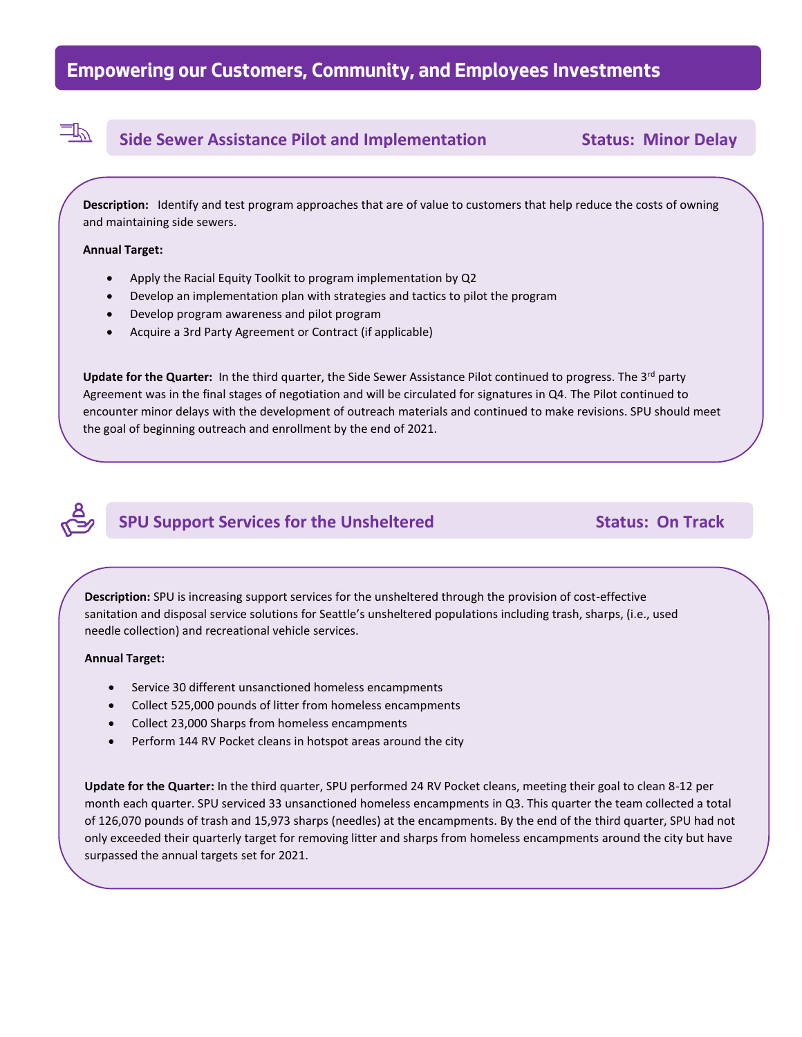### **Side Sewer Assistance Pilot and Implementation Status: Minor Delay**

**Description:** Identify and test program approaches that are of value to customers that help reduce the costs of owning and maintaining side sewers.

### **Annual Target:**

 $\exists\mathbb{P}$ 

**track**

- Apply the Racial Equity Toolkit to program implementation by Q2
- Develop an implementation plan with strategies and tactics to pilot the program
- Develop program awareness and pilot program
- Acquire a 3rd Party Agreement or Contract (if applicable)

**Update for the Quarter:** In the third quarter, the Side Sewer Assistance Pilot continued to progress. The 3rd party Agreement was in the final stages of negotiation and will be circulated for signatures in Q4. The Pilot continued to encounter minor delays with the development of outreach materials and continued to make revisions. SPU should meet the goal of beginning outreach and enrollment by the end of 2021.

## **SPU Support Services for the Unsheltered Status: On Track**

**Description:** SPU is increasing support services for the unsheltered through the provision of cost-effective sanitation and disposal service solutions for Seattle's unsheltered populations including trash, sharps, (i.e., used needle collection) and recreational vehicle services.

### **Annual Target:**

**track**

- Service 30 different unsanctioned homeless encampments
- Collect 525,000 pounds of litter from homeless encampments
- Collect 23,000 Sharps from homeless encampments
- Perform 144 RV Pocket cleans in hotspot areas around the city

**Update for the Quarter:** In the third quarter, SPU performed 24 RV Pocket cleans, meeting their goal to clean 8-12 per month each quarter. SPU serviced 33 unsanctioned homeless encampments in Q3. This quarter the team collected a total of 126,070 pounds of trash and 15,973 sharps (needles) at the encampments. By the end of the third quarter, SPU had not only exceeded their quarterly target for removing litter and sharps from homeless encampments around the city but have surpassed the annual targets set for 2021.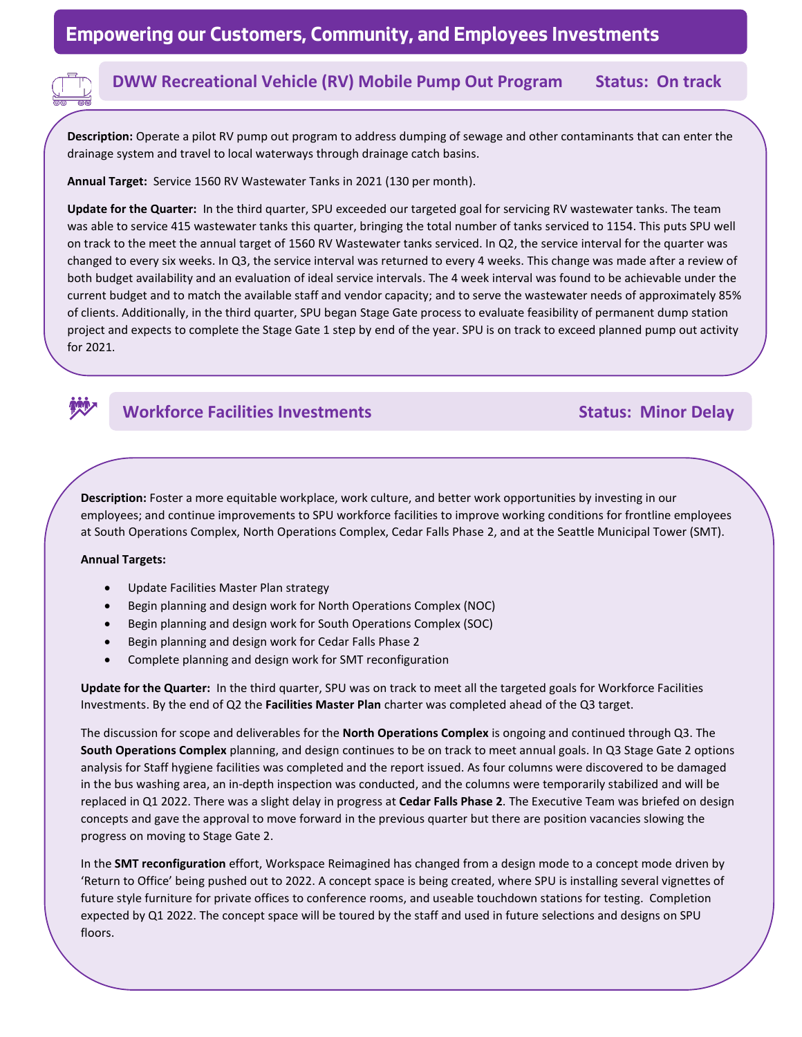### **DWW Recreational Vehicle (RV) Mobile Pump Out Program Status: On track**

**Description:** Operate a pilot RV pump out program to address dumping of sewage and other contaminants that can enter the drainage system and travel to local waterways through drainage catch basins.

**Annual Target:** Service 1560 RV Wastewater Tanks in 2021 (130 per month).

**Update for the Quarter:** In the third quarter, SPU exceeded our targeted goal for servicing RV wastewater tanks. The team was able to service 415 wastewater tanks this quarter, bringing the total number of tanks serviced to 1154. This puts SPU well on track to the meet the annual target of 1560 RV Wastewater tanks serviced. In Q2, the service interval for the quarter was changed to every six weeks. In Q3, the service interval was returned to every 4 weeks. This change was made after a review of both budget availability and an evaluation of ideal service intervals. The 4 week interval was found to be achievable under the current budget and to match the available staff and vendor capacity; and to serve the wastewater needs of approximately 85% of clients. Additionally, in the third quarter, SPU began Stage Gate process to evaluate feasibility of permanent dump station project and expects to complete the Stage Gate 1 step by end of the year. SPU is on track to exceed planned pump out activity for 2021.

### **Workforce Facilities Investments Status: Minor Delay**

**Description:** Foster a more equitable workplace, work culture, and better work opportunities by investing in our employees; and continue improvements to SPU workforce facilities to improve working conditions for frontline employees at South Operations Complex, North Operations Complex, Cedar Falls Phase 2, and at the Seattle Municipal Tower (SMT).

### **Annual Targets:**

**track**

- Update Facilities Master Plan strategy
- Begin planning and design work for North Operations Complex (NOC)
- Begin planning and design work for South Operations Complex (SOC)
- Begin planning and design work for Cedar Falls Phase 2
- Complete planning and design work for SMT reconfiguration

**Update for the Quarter:** In the third quarter, SPU was on track to meet all the targeted goals for Workforce Facilities Investments. By the end of Q2 the **Facilities Master Plan** charter was completed ahead of the Q3 target.

The discussion for scope and deliverables for the **North Operations Complex** is ongoing and continued through Q3. The **South Operations Complex** planning, and design continues to be on track to meet annual goals. In Q3 Stage Gate 2 options analysis for Staff hygiene facilities was completed and the report issued. As four columns were discovered to be damaged in the bus washing area, an in-depth inspection was conducted, and the columns were temporarily stabilized and will be replaced in Q1 2022. There was a slight delay in progress at **Cedar Falls Phase 2**. The Executive Team was briefed on design concepts and gave the approval to move forward in the previous quarter but there are position vacancies slowing the progress on moving to Stage Gate 2.

In the **SMT reconfiguration** effort, Workspace Reimagined has changed from a design mode to a concept mode driven by 'Return to Office' being pushed out to 2022. A concept space is being created, where SPU is installing several vignettes of future style furniture for private offices to conference rooms, and useable touchdown stations for testing.  Completion expected by Q1 2022. The concept space will be toured by the staff and used in future selections and designs on SPU floors.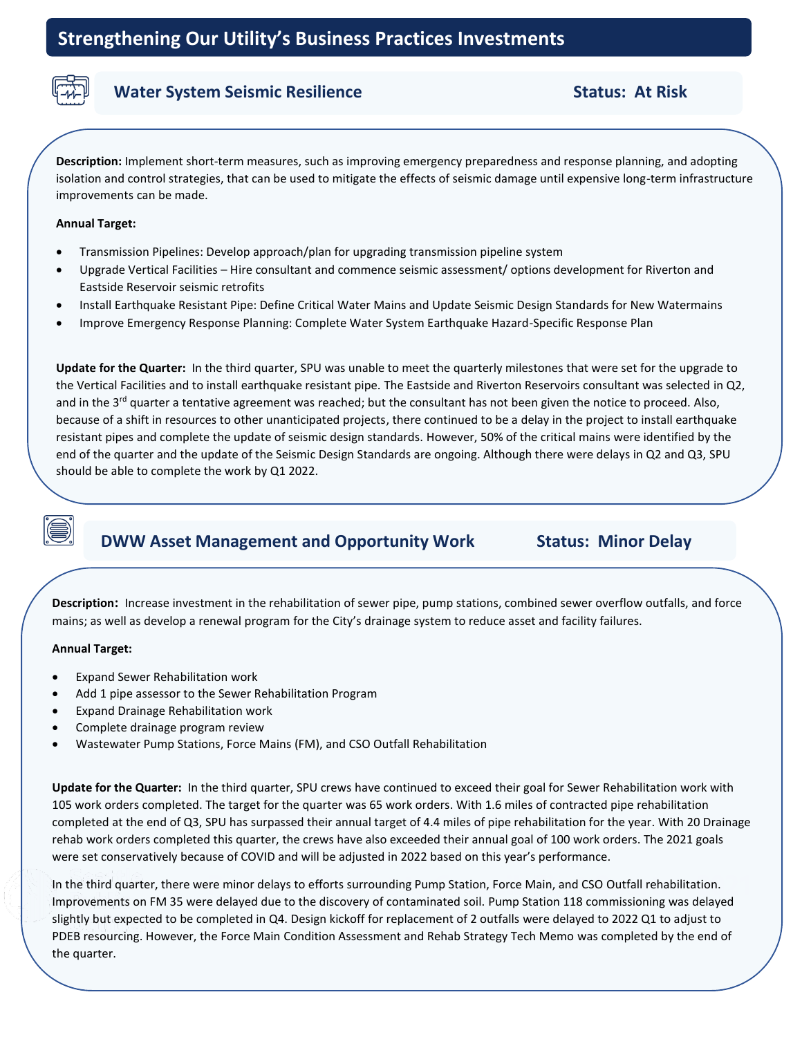

### **Water System Seismic Resilience Status: At Risk** Status: At Risk

**Description:** Implement short-term measures, such as improving emergency preparedness and response planning, and adopting isolation and control strategies, that can be used to mitigate the effects of seismic damage until expensive long-term infrastructure improvements can be made.

### **Annual Target:**

- Transmission Pipelines: Develop approach/plan for upgrading transmission pipeline system
- Upgrade Vertical Facilities Hire consultant and commence seismic assessment/ options development for Riverton and Eastside Reservoir seismic retrofits
- Install Earthquake Resistant Pipe: Define Critical Water Mains and Update Seismic Design Standards for New Watermains
- Improve Emergency Response Planning: Complete Water System Earthquake Hazard-Specific Response Plan

**Update for the Quarter:** In the third quarter, SPU was unable to meet the quarterly milestones that were set for the upgrade to the Vertical Facilities and to install earthquake resistant pipe. The Eastside and Riverton Reservoirs consultant was selected in Q2, and in the  $3<sup>rd</sup>$  quarter a tentative agreement was reached; but the consultant has not been given the notice to proceed. Also, because of a shift in resources to other unanticipated projects, there continued to be a delay in the project to install earthquake resistant pipes and complete the update of seismic design standards. However, 50% of the critical mains were identified by the end of the quarter and the update of the Seismic Design Standards are ongoing. Although there were delays in Q2 and Q3, SPU should be able to complete the work by Q1 2022.

### **DWW Asset Management and Opportunity Work Status: Minor Delay**

**Track** mains; as well as develop a renewal program for the City's drainage system to reduce asset and facility failures. **Description:** Increase investment in the rehabilitation of sewer pipe, pump stations, combined sewer overflow outfalls, and force

## **track Annual Target:**

- Expand Sewer Rehabilitation work
- Add 1 pipe assessor to the Sewer Rehabilitation Program
- Expand Drainage Rehabilitation work
- Complete drainage program review
- Wastewater Pump Stations, Force Mains (FM), and CSO Outfall Rehabilitation

**Update for the Quarter:** In the third quarter, SPU crews have continued to exceed their goal for Sewer Rehabilitation work with 105 work orders completed. The target for the quarter was 65 work orders. With 1.6 miles of contracted pipe rehabilitation completed at the end of Q3, SPU has surpassed their annual target of 4.4 miles of pipe rehabilitation for the year. With 20 Drainage rehab work orders completed this quarter, the crews have also exceeded their annual goal of 100 work orders. The 2021 goals were set conservatively because of COVID and will be adjusted in 2022 based on this year's performance.

In the third quarter, there were minor delays to efforts surrounding Pump Station, Force Main, and CSO Outfall rehabilitation.<br>Improvements on EM 35 were delayed due to the discovery of contaminated soil. Pump Station 118 **Implementing the 2021-2026 Strategic Business Plan Update** slightly but expected to be completed in Q4. Design kickoff for replacement of 2 outfalls were delayed to 2022 Q1 to adjust to Improvements on FM 35 were delayed due to the discovery of contaminated soil. Pump Station 118 commissioning was delayed PDEB resourcing. However, the Force Main Condition Assessment and Rehab Strategy Tech Memo was completed by the end of the quarter.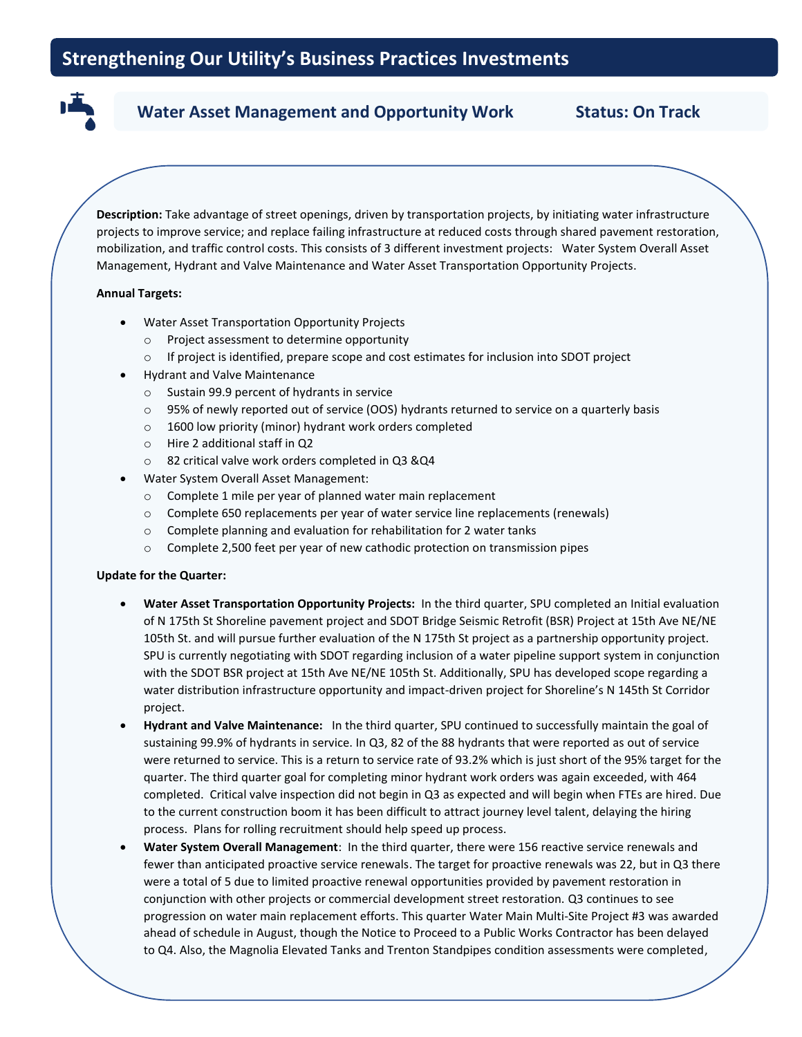### Water Asset Management and Opportunity Work **Status: On Track**

**Description:** Take advantage of street openings, driven by transportation projects, by initiating water infrastructure projects to improve service; and replace failing infrastructure at reduced costs through shared pavement restoration, mobilization, and traffic control costs. This consists of 3 different investment projects: Water System Overall Asset Management, Hydrant and Valve Maintenance and Water Asset Transportation Opportunity Projects.

### **Annual Targets:**

**track**

- Water Asset Transportation Opportunity Projects
	- o Project assessment to determine opportunity
	- o If project is identified, prepare scope and cost estimates for inclusion into SDOT project
- Hydrant and Valve Maintenance
	- o Sustain 99.9 percent of hydrants in service
	- o 95% of newly reported out of service (OOS) hydrants returned to service on a quarterly basis
	- o 1600 low priority (minor) hydrant work orders completed
	- o Hire 2 additional staff in Q2
	- o 82 critical valve work orders completed in Q3 &Q4
- Water System Overall Asset Management:
	- o Complete 1 mile per year of planned water main replacement
	- o Complete 650 replacements per year of water service line replacements (renewals)
	- o Complete planning and evaluation for rehabilitation for 2 water tanks
	- o Complete 2,500 feet per year of new cathodic protection on transmission pipes

### **Update for the Quarter:**

- **Water Asset Transportation Opportunity Projects:** In the third quarter, SPU completed an Initial evaluation of N 175th St Shoreline pavement project and SDOT Bridge Seismic Retrofit (BSR) Project at 15th Ave NE/NE 105th St. and will pursue further evaluation of the N 175th St project as a partnership opportunity project. SPU is currently negotiating with SDOT regarding inclusion of a water pipeline support system in conjunction with the SDOT BSR project at 15th Ave NE/NE 105th St. Additionally, SPU has developed scope regarding a water distribution infrastructure opportunity and impact-driven project for Shoreline's N 145th St Corridor project.
- **Hydrant and Valve Maintenance:** In the third quarter, SPU continued to successfully maintain the goal of sustaining 99.9% of hydrants in service. In Q3, 82 of the 88 hydrants that were reported as out of service were returned to service. This is a return to service rate of 93.2% which is just short of the 95% target for the quarter. The third quarter goal for completing minor hydrant work orders was again exceeded, with 464 completed. Critical valve inspection did not begin in Q3 as expected and will begin when FTEs are hired. Due to the current construction boom it has been difficult to attract journey level talent, delaying the hiring process. Plans for rolling recruitment should help speed up process.
- **Water System Overall Management**: In the third quarter, there were 156 reactive service renewals and fewer than anticipated proactive service renewals. The target for proactive renewals was 22, but in Q3 there were a total of 5 due to limited proactive renewal opportunities provided by pavement restoration in conjunction with other projects or commercial development street restoration. Q3 continues to see progression on water main replacement efforts. This quarter Water Main Multi-Site Project #3 was awarded ahead of schedule in August, though the Notice to Proceed to a Public Works Contractor has been delayed to Q4. Also, the Magnolia Elevated Tanks and Trenton Standpipes condition assessments were completed,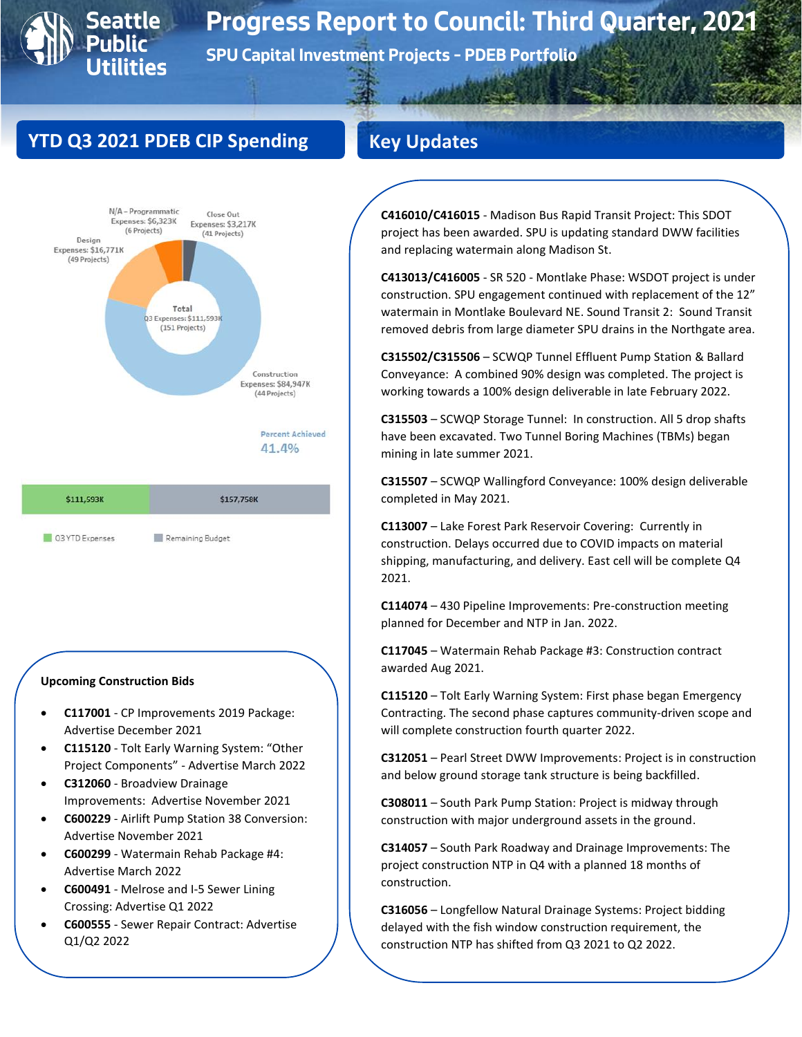# **Seattle 0**

# **Progress Report to Council: Third Quarter, 2021**

**SPU Capital Investment Projects – PDEB Portfolio**

# **YTD Q3 2021 PDEB CIP Spending**



N/A - Programmatic Close Out Expenses: \$6,323K Expenses: \$3,217K (6 Projects) (41 Projects) Design Expenses: \$16,771K (49 Projects) Total Q3 Expenses: \$111,593K (151 Projects) Construction Expenses: \$84,947K (44 Projects) Percent Achieved 41.4% \$111,593K \$157,758K

| Q3 YTD Expenses |                  |
|-----------------|------------------|
|                 | Remaining Budget |

### **Upcoming Construction Bids**

- **C117001** CP Improvements 2019 Package: Advertise December 2021
- **C115120** Tolt Early Warning System: "Other Project Components" - Advertise March 2022
- **C312060** Broadview Drainage Improvements: Advertise November 2021
- **C600229** Airlift Pump Station 38 Conversion: Advertise November 2021
- **C600299** Watermain Rehab Package #4: Advertise March 2022
- **C600491** Melrose and I-5 Sewer Lining Crossing: Advertise Q1 2022
- **C600555** Sewer Repair Contract: Advertise Q1/Q2 2022

**C416010/C416015** - Madison Bus Rapid Transit Project: This SDOT project has been awarded. SPU is updating standard DWW facilities and replacing watermain along Madison St.

**C413013/C416005** - SR 520 - Montlake Phase: WSDOT project is under construction. SPU engagement continued with replacement of the 12" watermain in Montlake Boulevard NE. Sound Transit 2: Sound Transit removed debris from large diameter SPU drains in the Northgate area.

**C315502/C315506** – SCWQP Tunnel Effluent Pump Station & Ballard Conveyance: A combined 90% design was completed. The project is working towards a 100% design deliverable in late February 2022.

**C315503** – SCWQP Storage Tunnel: In construction. All 5 drop shafts have been excavated. Two Tunnel Boring Machines (TBMs) began mining in late summer 2021.

**C315507** – SCWQP Wallingford Conveyance: 100% design deliverable completed in May 2021.

**C113007** – Lake Forest Park Reservoir Covering: Currently in construction. Delays occurred due to COVID impacts on material shipping, manufacturing, and delivery. East cell will be complete Q4 2021.

**C114074** – 430 Pipeline Improvements: Pre-construction meeting planned for December and NTP in Jan. 2022.

**C117045** – Watermain Rehab Package #3: Construction contract awarded Aug 2021.

**C115120** – Tolt Early Warning System: First phase began Emergency Contracting. The second phase captures community-driven scope and will complete construction fourth quarter 2022.

**C312051** – Pearl Street DWW Improvements: Project is in construction and below ground storage tank structure is being backfilled.

**C308011** – South Park Pump Station: Project is midway through construction with major underground assets in the ground.

**C314057** – South Park Roadway and Drainage Improvements: The project construction NTP in Q4 with a planned 18 months of construction.

**C316056** – Longfellow Natural Drainage Systems: Project bidding delayed with the fish window construction requirement, the construction NTP has shifted from Q3 2021 to Q2 2022.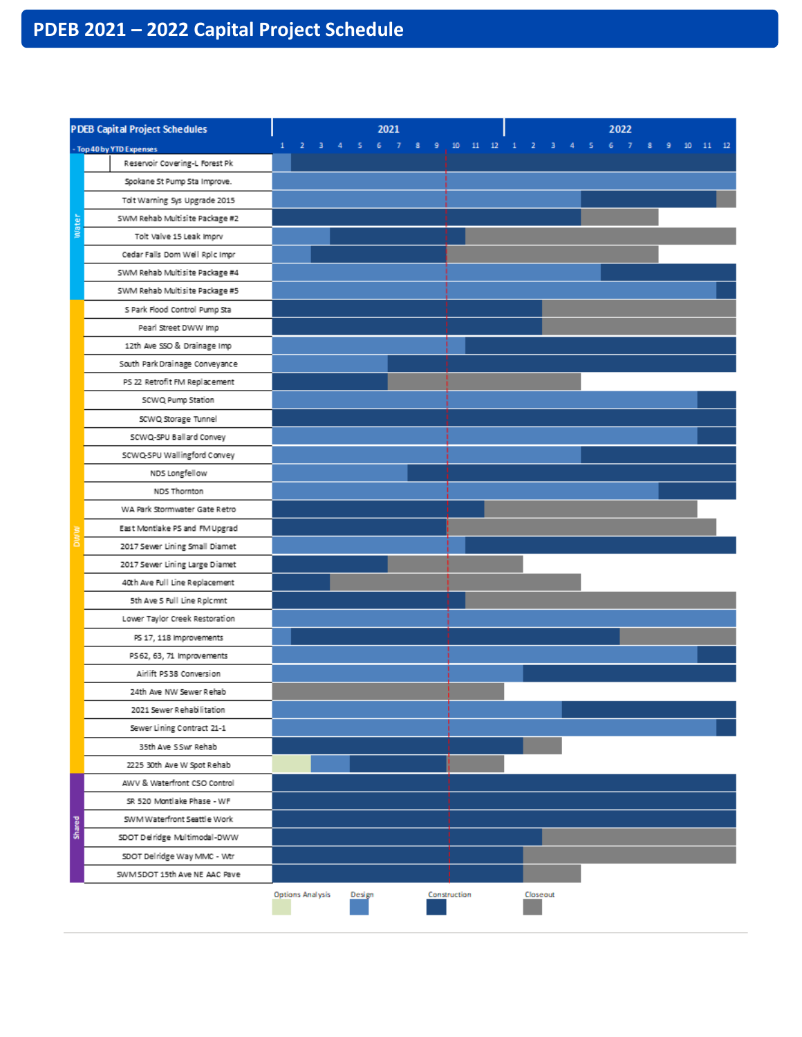# **PDEB 2021 – 2022 Capital Project Schedule**

| <b>PDEB Capital Project Schedules</b> |                                |                  | 2021   |              |                              |                        | 2022 |  |  |
|---------------------------------------|--------------------------------|------------------|--------|--------------|------------------------------|------------------------|------|--|--|
|                                       | - Top 40 by YTD Expenses       | $\mathbf{1}$     |        |              | 2 3 4 5 6 7 8 9 10 11 12 1 2 | 3 4 5 6 7 8 9 10 11 12 |      |  |  |
|                                       | Reservoir Covering-L Forest Pk |                  |        |              |                              |                        |      |  |  |
|                                       | Spokane St Pump Sta Improve.   |                  |        |              |                              |                        |      |  |  |
|                                       | Tolt Warning Sys Upgrade 2015  |                  |        |              |                              |                        |      |  |  |
| Water                                 | SWM Rehab Multisite Package #2 |                  |        |              |                              |                        |      |  |  |
|                                       | Tolt Valve 15 Leak Imprv       |                  |        |              |                              |                        |      |  |  |
|                                       | Cedar Falls Dom Well Rplc Impr |                  |        |              |                              |                        |      |  |  |
|                                       | SWM Rehab Multisite Package #4 |                  |        |              |                              |                        |      |  |  |
|                                       | SWM Rehab Multisite Package #5 |                  |        |              |                              |                        |      |  |  |
|                                       | S Park Flood Control Pump Sta  |                  |        |              |                              |                        |      |  |  |
|                                       | Pearl Street DWW Imp           |                  |        |              |                              |                        |      |  |  |
|                                       | 12th Ave SSO & Drainage Imp    |                  |        |              |                              |                        |      |  |  |
|                                       | South Park Drainage Conveyance |                  |        |              |                              |                        |      |  |  |
|                                       | PS 22 Retrofit FM Replacement  |                  |        |              |                              |                        |      |  |  |
|                                       | SCWQ Pump Station              |                  |        |              |                              |                        |      |  |  |
|                                       | SCWQ Storage Tunnel            |                  |        |              |                              |                        |      |  |  |
|                                       | SCWQ-SPU Ballard Convey        |                  |        |              |                              |                        |      |  |  |
|                                       | SCWQ-SPU Wallingford Convey    |                  |        |              |                              |                        |      |  |  |
|                                       | NDS Longfellow                 |                  |        |              |                              |                        |      |  |  |
|                                       | NDS Thornton                   |                  |        |              |                              |                        |      |  |  |
|                                       | WA Park Stormwater Gate Retro  |                  |        |              |                              |                        |      |  |  |
|                                       | East Montlake PS and FM Upgrad |                  |        |              |                              |                        |      |  |  |
|                                       | 2017 Sewer Lining Small Diamet |                  |        |              |                              |                        |      |  |  |
|                                       | 2017 Sewer Lining Large Diamet |                  |        |              |                              |                        |      |  |  |
|                                       | 40th Ave Full Line Replacement |                  |        |              |                              |                        |      |  |  |
|                                       | 5th Ave S Full Line R plc mnt  |                  |        |              |                              |                        |      |  |  |
|                                       | Lower Taylor Creek Restoration |                  |        |              |                              |                        |      |  |  |
|                                       | PS 17, 118 Improvements        |                  |        |              |                              |                        |      |  |  |
|                                       | PS 62, 63, 71 Improvements     |                  |        |              |                              |                        |      |  |  |
|                                       | Airlift PS38 Conversion        |                  |        |              |                              |                        |      |  |  |
|                                       | 24th Ave NW Sewer Rehab        |                  |        |              |                              |                        |      |  |  |
|                                       | 2021 Sewer Rehabilitation      |                  |        |              |                              |                        |      |  |  |
|                                       | Sewer Lining Contract 21-1     |                  |        |              |                              |                        |      |  |  |
|                                       | 35th Ave SSwr Rehab            |                  |        |              |                              |                        |      |  |  |
|                                       | 2225 30th Ave W Spot Rehab     |                  |        |              |                              |                        |      |  |  |
|                                       | AWV & Waterfront CSO Control   |                  |        |              |                              |                        |      |  |  |
|                                       | SR 520 Montlake Phase - WF     |                  |        |              |                              |                        |      |  |  |
|                                       | SWM Waterfront Seattle Work    |                  |        |              |                              |                        |      |  |  |
| Shared                                | SDOT Delridge Multimodal-DWW   |                  |        |              |                              |                        |      |  |  |
|                                       | SDOT Del ridge Way MMC - Wtr   |                  |        |              |                              |                        |      |  |  |
|                                       | SWM SDOT 15th Ave NE AAC Pave  |                  |        |              |                              |                        |      |  |  |
|                                       |                                | Options Analysis | Design | Construction | Closeout                     |                        |      |  |  |
|                                       |                                |                  |        |              |                              |                        |      |  |  |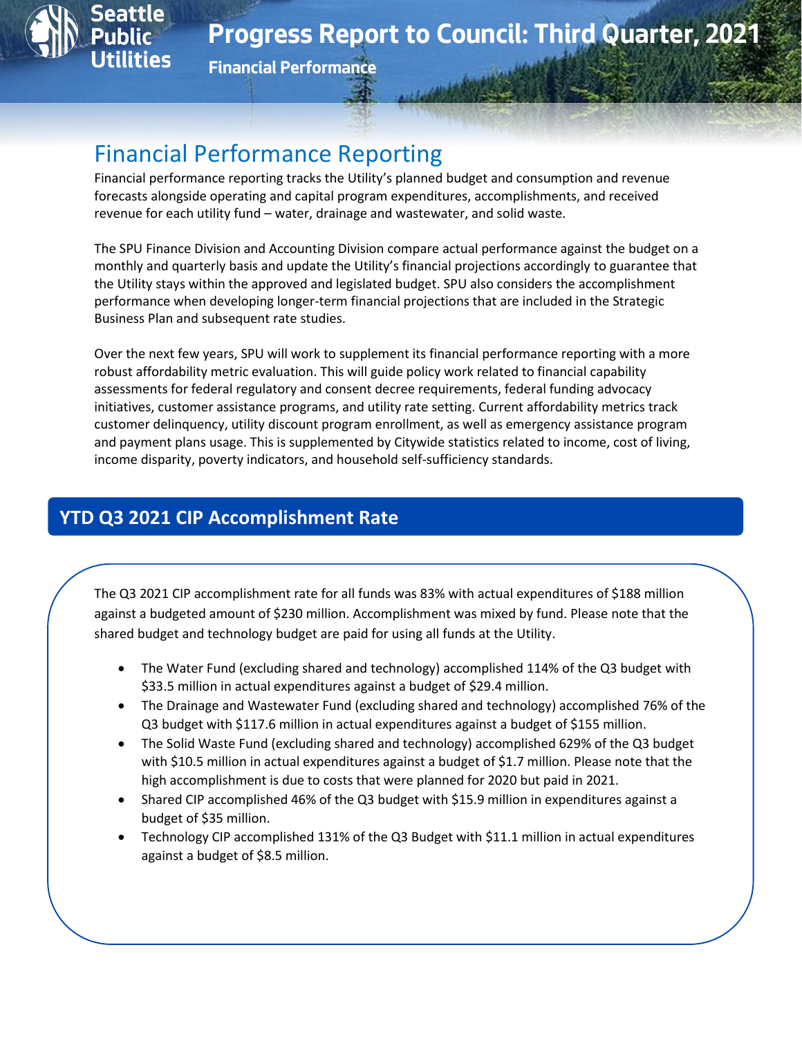

**Financial Performance**

# Financial Performance Reporting

Financial performance reporting tracks the Utility's planned budget and consumption and revenue forecasts alongside operating and capital program expenditures, accomplishments, and received revenue for each utility fund – water, drainage and wastewater, and solid waste.

The SPU Finance Division and Accounting Division compare actual performance against the budget on a monthly and quarterly basis and update the Utility's financial projections accordingly to guarantee that the Utility stays within the approved and legislated budget. SPU also considers the accomplishment performance when developing longer-term financial projections that are included in the Strategic Business Plan and subsequent rate studies.

Over the next few years, SPU will work to supplement its financial performance reporting with a more robust affordability metric evaluation. This will guide policy work related to financial capability assessments for federal regulatory and consent decree requirements, federal funding advocacy initiatives, customer assistance programs, and utility rate setting. Current affordability metrics track customer delinquency, utility discount program enrollment, as well as emergency assistance program and payment plans usage. This is supplemented by Citywide statistics related to income, cost of living, income disparity, poverty indicators, and household self-sufficiency standards.

# **YTD Q3 2021 CIP Accomplishment Rate**

The Q3 2021 CIP accomplishment rate for all funds was 83% with actual expenditures of \$188 million against a budgeted amount of \$230 million. Accomplishment was mixed by fund. Please note that the shared budget and technology budget are paid for using all funds at the Utility.

- The Water Fund (excluding shared and technology) accomplished 114% of the Q3 budget with \$33.5 million in actual expenditures against a budget of \$29.4 million.
- The Drainage and Wastewater Fund (excluding shared and technology) accomplished 76% of the Q3 budget with \$117.6 million in actual expenditures against a budget of \$155 million.
- The Solid Waste Fund (excluding shared and technology) accomplished 629% of the Q3 budget with \$10.5 million in actual expenditures against a budget of \$1.7 million. Please note that the high accomplishment is due to costs that were planned for 2020 but paid in 2021.
- Shared CIP accomplished 46% of the Q3 budget with \$15.9 million in expenditures against a budget of \$35 million.
- Technology CIP accomplished 131% of the Q3 Budget with \$11.1 million in actual expenditures against a budget of \$8.5 million.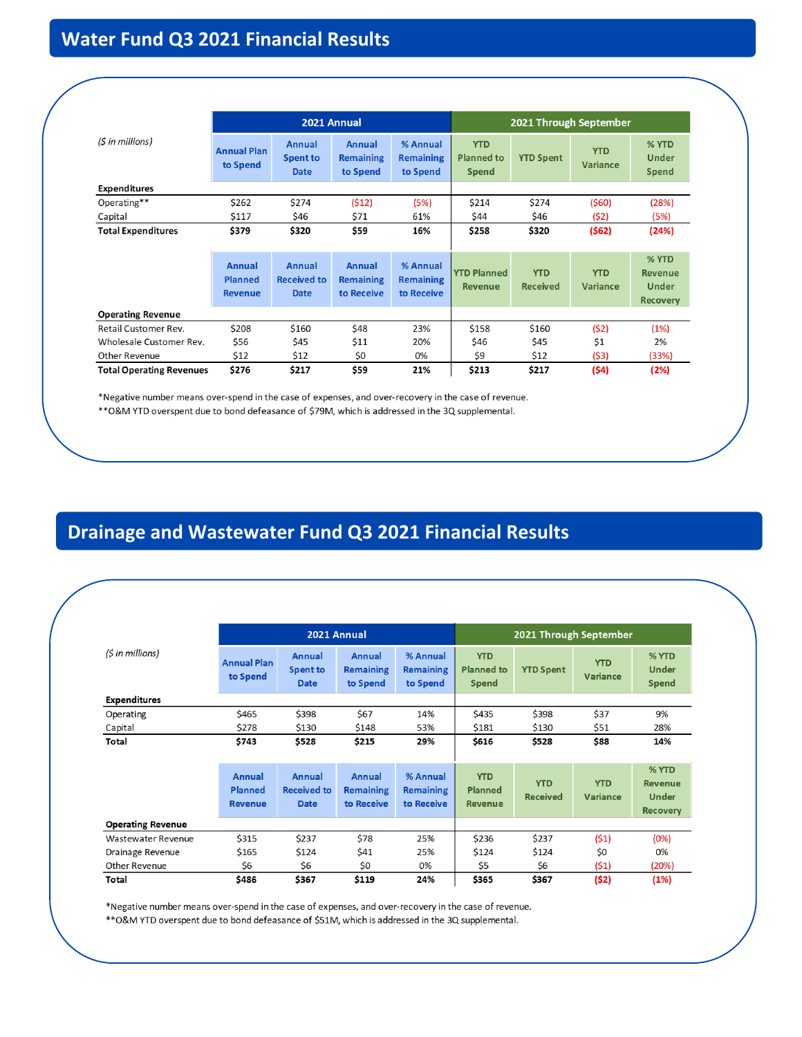# **Water Fund Q3 2021 Financial Results**

|                                 |                                                   |                                                    | 2021 Annual                              |                                            | 2021 Through September                          |                               |                               |                                                     |  |
|---------------------------------|---------------------------------------------------|----------------------------------------------------|------------------------------------------|--------------------------------------------|-------------------------------------------------|-------------------------------|-------------------------------|-----------------------------------------------------|--|
| (\$ in millions)                | <b>Annual Plan</b><br>to Spend                    | <b>Annual</b><br><b>Spent to</b><br><b>Date</b>    | Annual<br><b>Remaining</b><br>to Spend   | % Annual<br><b>Remaining</b><br>to Spend   | <b>YTD</b><br><b>Planned to</b><br><b>Spend</b> | <b>YTD Spent</b>              | <b>YTD</b><br><b>Variance</b> | % YTD<br>Under<br><b>Spend</b>                      |  |
| <b>Expenditures</b>             |                                                   |                                                    |                                          |                                            |                                                 |                               |                               |                                                     |  |
| Operating**                     | \$262                                             | \$274                                              | (512)                                    | (5%)                                       | \$214                                           | \$274                         | (560)                         | (28%)                                               |  |
| Capital                         | \$117                                             | \$46                                               | \$71                                     | 61%                                        | \$44                                            | \$46                          | (52)                          | (5%)                                                |  |
| <b>Total Expenditures</b>       | \$379                                             | \$320                                              | \$59                                     | 16%                                        | \$258                                           | \$320                         | (562)                         | (24%)                                               |  |
|                                 |                                                   |                                                    |                                          |                                            |                                                 |                               |                               |                                                     |  |
|                                 | <b>Annual</b><br><b>Planned</b><br><b>Revenue</b> | <b>Annual</b><br><b>Received to</b><br><b>Date</b> | Annual<br><b>Remaining</b><br>to Receive | % Annual<br><b>Remaining</b><br>to Receive | <b>YTD Planned</b><br><b>Revenue</b>            | <b>YTD</b><br><b>Received</b> | <b>YTD</b><br><b>Variance</b> | % YTD<br><b>Revenue</b><br>Under<br><b>Recovery</b> |  |
| <b>Operating Revenue</b>        |                                                   |                                                    |                                          |                                            |                                                 |                               |                               |                                                     |  |
| Retail Customer Rev.            | \$208                                             | \$160                                              | \$48                                     | 23%                                        | \$158                                           | \$160                         | (52)                          | (1%)                                                |  |
| Wholesale Customer Rev.         | \$56                                              | \$45                                               | \$11                                     | 20%                                        | \$46                                            | \$45                          | \$1                           | 2%                                                  |  |
| Other Revenue                   | \$12                                              | \$12                                               | \$0                                      | 0%                                         | \$9                                             | \$12                          | (53)                          | (33%)                                               |  |
| <b>Total Operating Revenues</b> | \$276                                             | \$217                                              | \$59                                     | 21%                                        | \$213                                           | \$217                         | (54)                          | (2%)                                                |  |

\*Negative number means over-spend in the case of expenses, and over-recovery in the case of revenue. \*\* O&M YTD overspent due to bond defeasance of \$79M, which is addressed in the 3Q supplemental.

# **Drainage and Wastewater Fund Q3 2021 Financial Results**

|                          |                                            |                                             | 2021 Annual                              |                                            | 2021 Through September                          |                               |                        |                                                     |  |
|--------------------------|--------------------------------------------|---------------------------------------------|------------------------------------------|--------------------------------------------|-------------------------------------------------|-------------------------------|------------------------|-----------------------------------------------------|--|
| (5 in millions)          | <b>Annual Plan</b><br>to Spend             | Annual<br><b>Spent to</b><br><b>Date</b>    | Annual<br><b>Remaining</b><br>to Spend   | % Annual<br><b>Remaining</b><br>to Spend   | <b>YTD</b><br><b>Planned to</b><br><b>Spend</b> | <b>YTD Spent</b>              | <b>YTD</b><br>Variance | % YTD<br>Under<br><b>Spend</b>                      |  |
| <b>Expenditures</b>      |                                            |                                             |                                          |                                            |                                                 |                               |                        |                                                     |  |
| Operating                | \$465                                      | \$398                                       | \$67                                     | 14%                                        | \$435                                           | \$398                         | \$37                   | 9%                                                  |  |
| Capital                  | \$278                                      | \$130                                       | \$148                                    | 53%                                        | \$181                                           | \$130                         | \$51                   | 28%                                                 |  |
| Total                    | \$743                                      | \$528                                       | \$215                                    | 29%                                        | \$616                                           | \$528                         | \$88                   | 14%                                                 |  |
|                          | Annual<br><b>Planned</b><br><b>Revenue</b> | Annual<br><b>Received to</b><br><b>Date</b> | Annual<br><b>Remaining</b><br>to Receive | % Annual<br><b>Remaining</b><br>to Receive | <b>YTD</b><br>Planned<br><b>Revenue</b>         | <b>YTD</b><br><b>Received</b> | <b>YTD</b><br>Variance | % YTD<br><b>Revenue</b><br>Under<br><b>Recovery</b> |  |
| <b>Operating Revenue</b> |                                            |                                             |                                          |                                            |                                                 |                               |                        |                                                     |  |
| Wastewater Revenue       | \$315                                      | \$237                                       | \$78                                     | 25%                                        | \$236                                           | \$237                         | (51)                   | (0%)                                                |  |
| Drainage Revenue         | \$165                                      | \$124                                       | \$41                                     | 25%                                        | \$124                                           | \$124                         | \$0                    | 0%                                                  |  |
| Other Revenue            | \$6                                        | \$6                                         | \$0                                      | 0%                                         | \$5                                             | \$6                           | (51)                   | (20%)                                               |  |
| Total                    | \$486                                      | \$367                                       | \$119                                    | 24%                                        | \$365                                           | \$367                         | (52)                   | (1%)                                                |  |

\*Negative number means over-spend in the case of expenses, and over-recovery in the case of revenue. \*\* O&M YTD overspent due to bond defeasance of \$51M, which is addressed in the 3Q supplemental.